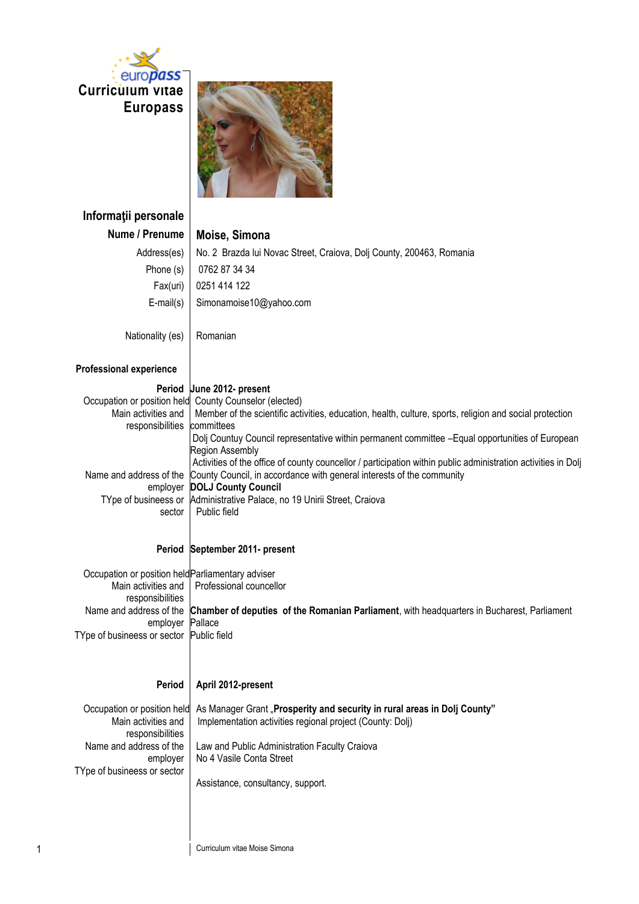



| Informații personale                              |                                                                                                                                                                   |
|---------------------------------------------------|-------------------------------------------------------------------------------------------------------------------------------------------------------------------|
| Nume / Prenume                                    | Moise, Simona                                                                                                                                                     |
| Address(es)                                       | No. 2 Brazda lui Novac Street, Craiova, Dolj County, 200463, Romania                                                                                              |
| Phone (s)                                         | 0762 87 34 34                                                                                                                                                     |
| Fax(uri)                                          | 0251 414 122                                                                                                                                                      |
| $E$ -mail $(s)$                                   | Simonamoise10@yahoo.com                                                                                                                                           |
| Nationality (es)                                  | Romanian                                                                                                                                                          |
| <b>Professional experience</b>                    |                                                                                                                                                                   |
| Period                                            | June 2012- present                                                                                                                                                |
| Main activities and                               | Occupation or position held County Counselor (elected)<br>Member of the scientific activities, education, health, culture, sports, religion and social protection |
| responsibilities                                  | committees                                                                                                                                                        |
|                                                   | Dolj Countuy Council representative within permanent committee -Equal opportunities of European                                                                   |
|                                                   | <b>Region Assembly</b><br>Activities of the office of county councellor / participation within public administration activities in Dolj                           |
| Name and address of the                           | County Council, in accordance with general interests of the community                                                                                             |
| employer<br>TYpe of busineess or                  | <b>DOLJ County Council</b><br>Administrative Palace, no 19 Unirii Street, Craiova                                                                                 |
| sector                                            | Public field                                                                                                                                                      |
|                                                   |                                                                                                                                                                   |
|                                                   | Period September 2011- present                                                                                                                                    |
| Occupation or position held Parliamentary adviser |                                                                                                                                                                   |
| Main activities and                               | Professional councellor                                                                                                                                           |
| responsibilities<br>Name and address of the       | Chamber of deputies of the Romanian Parliament, with headquarters in Bucharest, Parliament                                                                        |
| employer                                          | Pallace                                                                                                                                                           |
| TYpe of busineess or sector Public field          |                                                                                                                                                                   |
|                                                   |                                                                                                                                                                   |
| Period                                            | April 2012-present                                                                                                                                                |
| Occupation or position held                       | As Manager Grant "Prosperity and security in rural areas in Dolj County"                                                                                          |
| Main activities and                               | Implementation activities regional project (County: Dolj)                                                                                                         |
| responsibilities<br>Name and address of the       | Law and Public Administration Faculty Craiova                                                                                                                     |
| employer                                          | No 4 Vasile Conta Street                                                                                                                                          |
| TYpe of busineess or sector                       | Assistance, consultancy, support.                                                                                                                                 |
|                                                   |                                                                                                                                                                   |
|                                                   |                                                                                                                                                                   |
|                                                   |                                                                                                                                                                   |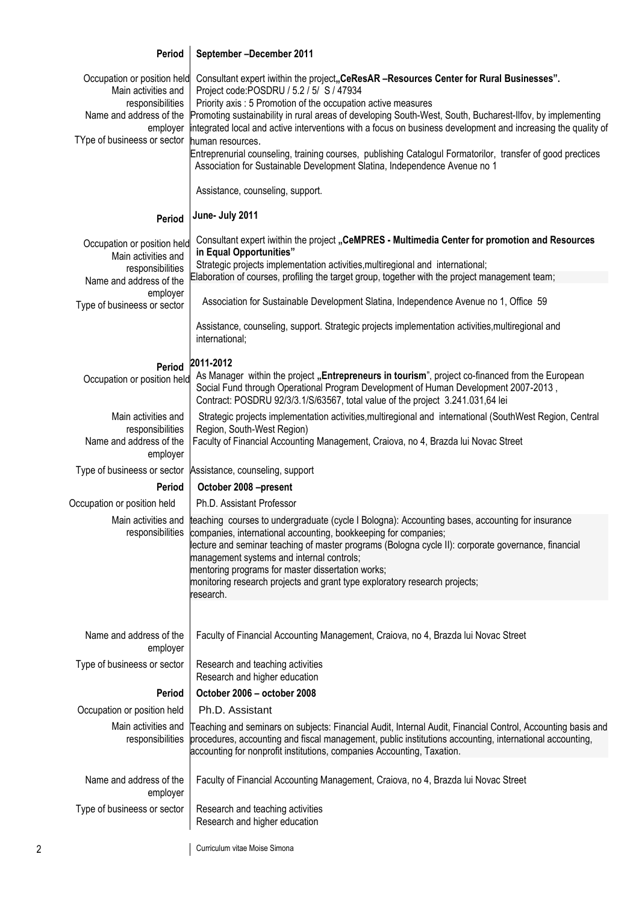## **Period** Occupation or position held Main activities and responsibilities Name and address of the employer TYpe of busineess or sector **Period** Occupation or position held Main activities and responsibilities Name and address of the employer Type of busineess or sector **Period** Occupation or position held **September –December 2011** Consultant expert iwithin the project<sub>"</sub>CeResAR -Resources Center for Rural Businesses". Project code:POSDRU / 5.2 / 5/ S / 47934 Priority axis : 5 Promotion of the occupation active measures Promoting sustainability in rural areas of developing South-West, South, Bucharest-Ilfov, by implementing integrated local and active interventions with a focus on business development and increasing the quality of human resources. Entreprenurial counseling, training courses, publishing Catalogul Formatorilor, transfer of good prectices Association for Sustainable Development Slatina, Independence Avenue no 1 Assistance, counseling, support. **June- July 2011** Consultant expert iwithin the project **"CeMPRES - Multimedia Center for promotion and Resources in Equal Opportunities"** Strategic projects implementation activities,multiregional and international; Elaboration of courses, profiling the target group, together with the project management team; Association for Sustainable Development Slatina, Independence Avenue no 1, Office 59 Assistance, counseling, support. Strategic projects implementation activities,multiregional and international; **2011-2012** As Manager within the project "Entrepreneurs in tourism", project co-financed from the European Social Fund through Operational Program Development of Human Development 2007-2013 , Contract: POSDRU 92/3/3.1/S/63567, total value of the project 3.241.031,64 lei Main activities and responsibilities Name and address of the employer Strategic projects implementation activities,multiregional and international (SouthWest Region, Central Region, South-West Region) Faculty of Financial Accounting Management, Craiova, no 4, Brazda lui Novac Street Type of busineess or sector Assistance, counseling, support **Period October 2008 –present** Occupation or position held Ph.D. Assistant Professor Main activities and responsibilities teaching courses to undergraduate (cycle I Bologna): Accounting bases, accounting for insurance companies, international accounting, bookkeeping for companies; lecture and seminar teaching of master programs (Bologna cycle II): corporate governance, financial management systems and internal controls; mentoring programs for master dissertation works; monitoring research projects and grant type exploratory research projects; research. Name and address of the employer Faculty of Financial Accounting Management, Craiova, no 4, Brazda lui Novac Street Type of busineess or sector  $\parallel$  Research and teaching activities Research and higher education **Period October 2006 – october 2008** Occupation or position held **Ph.D.** Assistant Main activities and responsibilities Teaching and seminars on subjects: Financial Audit, Internal Audit, Financial Control, Accounting basis and procedures, accounting and fiscal management, public institutions accounting, international accounting, accounting for nonprofit institutions, companies Accounting, Taxation. Name and address of the employer Faculty of Financial Accounting Management, Craiova, no 4, Brazda lui Novac Street Type of busineess or sector  $\parallel$  Research and teaching activities Research and higher education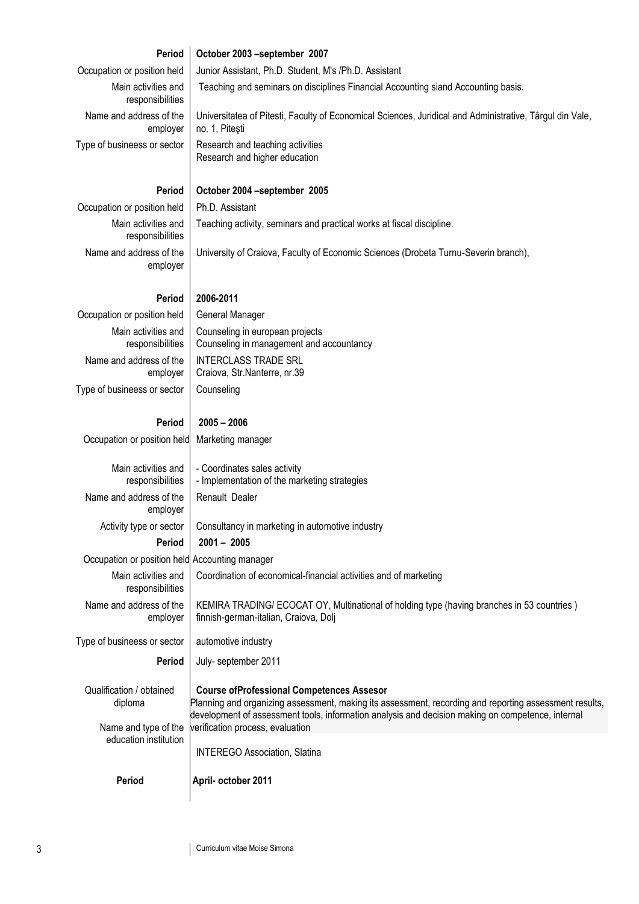| Period                                                      | October 2003 -september 2007                                                                                                                                                                                                                                                                        |
|-------------------------------------------------------------|-----------------------------------------------------------------------------------------------------------------------------------------------------------------------------------------------------------------------------------------------------------------------------------------------------|
| Occupation or position held                                 | Junior Assistant, Ph.D. Student, M's /Ph.D. Assistant                                                                                                                                                                                                                                               |
| Main activities and<br>responsibilities                     | Teaching and seminars on disciplines Financial Accounting siand Accounting basis.                                                                                                                                                                                                                   |
| Name and address of the<br>employer                         | Universitatea of Pitesti, Faculty of Economical Sciences, Juridical and Administrative, Târgul din Vale,<br>no. 1, Pitești                                                                                                                                                                          |
| Type of busineess or sector                                 | Research and teaching activities<br>Research and higher education                                                                                                                                                                                                                                   |
| Period                                                      | October 2004 -september 2005                                                                                                                                                                                                                                                                        |
| Occupation or position held                                 | Ph.D. Assistant                                                                                                                                                                                                                                                                                     |
| Main activities and<br>responsibilities                     | Teaching activity, seminars and practical works at fiscal discipline.                                                                                                                                                                                                                               |
| Name and address of the<br>employer                         | University of Craiova, Faculty of Economic Sciences (Drobeta Turnu-Severin branch),                                                                                                                                                                                                                 |
| <b>Period</b>                                               | 2006-2011                                                                                                                                                                                                                                                                                           |
| Occupation or position held                                 | General Manager                                                                                                                                                                                                                                                                                     |
| Main activities and<br>responsibilities                     | Counseling in european projects<br>Counseling in management and accountancy                                                                                                                                                                                                                         |
| Name and address of the<br>employer                         | <b>INTERCLASS TRADE SRL</b><br>Craiova, Str.Nanterre, nr.39                                                                                                                                                                                                                                         |
| Type of busineess or sector                                 | Counseling                                                                                                                                                                                                                                                                                          |
| <b>Period</b>                                               | $2005 - 2006$                                                                                                                                                                                                                                                                                       |
| Occupation or position held                                 | Marketing manager                                                                                                                                                                                                                                                                                   |
| Main activities and<br>responsibilities                     | - Coordinates sales activity<br>- Implementation of the marketing strategies                                                                                                                                                                                                                        |
| Name and address of the<br>employer                         | Renault Dealer                                                                                                                                                                                                                                                                                      |
| Activity type or sector                                     | Consultancy in marketing in automotive industry                                                                                                                                                                                                                                                     |
| <b>Period</b>                                               | $2001 - 2005$                                                                                                                                                                                                                                                                                       |
| Occupation or position held Accounting manager              |                                                                                                                                                                                                                                                                                                     |
| Main activities and<br>responsibilities                     | Coordination of economical-financial activities and of marketing                                                                                                                                                                                                                                    |
| Name and address of the<br>employer                         | KEMIRA TRADING/ ECOCAT OY, Multinational of holding type (having branches in 53 countries)<br>finnish-german-italian, Craiova, Dolj                                                                                                                                                                 |
| Type of busineess or sector                                 | automotive industry                                                                                                                                                                                                                                                                                 |
| Period                                                      | July- september 2011                                                                                                                                                                                                                                                                                |
| Qualification / obtained<br>diploma<br>Name and type of the | <b>Course ofProfessional Competences Assesor</b><br>Planning and organizing assessment, making its assessment, recording and reporting assessment results,<br>development of assessment tools, information analysis and decision making on competence, internal<br>verification process, evaluation |
| education institution                                       | <b>INTEREGO Association, Slatina</b>                                                                                                                                                                                                                                                                |
| Period                                                      | April- october 2011                                                                                                                                                                                                                                                                                 |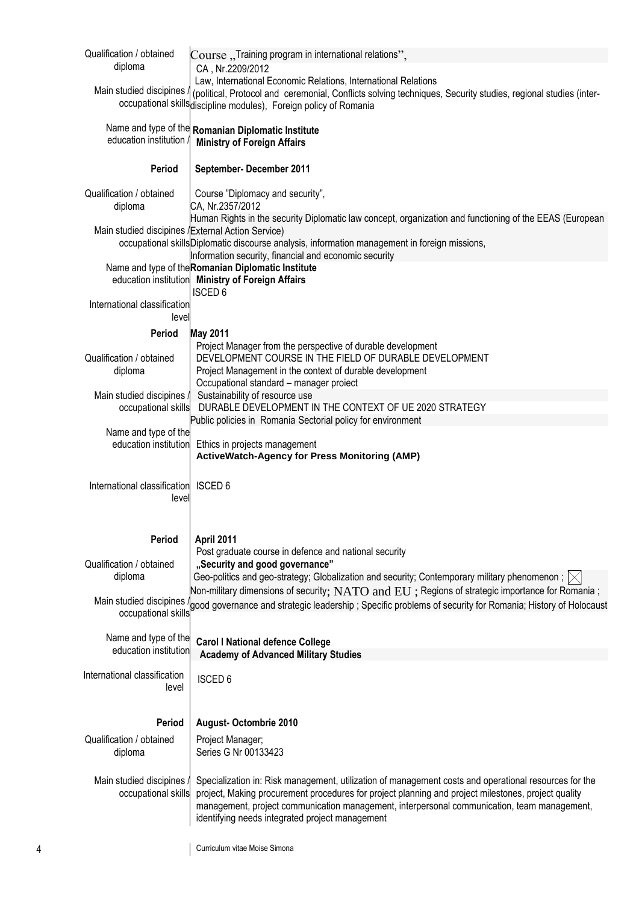| Qualification / obtained                           | Course "Training program in international relations",                                                                                                                                                            |
|----------------------------------------------------|------------------------------------------------------------------------------------------------------------------------------------------------------------------------------------------------------------------|
| diploma                                            | CA, Nr.2209/2012                                                                                                                                                                                                 |
| Main studied discipines                            | Law, International Economic Relations, International Relations<br>(political, Protocol and ceremonial, Conflicts solving techniques, Security studies, regional studies (inter-                                  |
|                                                    | occupational skills discipline modules), Foreign policy of Romania                                                                                                                                               |
|                                                    |                                                                                                                                                                                                                  |
| education institution                              | Name and type of the Romanian Diplomatic Institute                                                                                                                                                               |
|                                                    | <b>Ministry of Foreign Affairs</b>                                                                                                                                                                               |
| <b>Period</b>                                      | September- December 2011                                                                                                                                                                                         |
|                                                    |                                                                                                                                                                                                                  |
| Qualification / obtained                           | Course "Diplomacy and security",                                                                                                                                                                                 |
| diploma                                            | CA, Nr.2357/2012<br>Human Rights in the security Diplomatic law concept, organization and functioning of the EEAS (European                                                                                      |
| Main studied discipines / External Action Service) |                                                                                                                                                                                                                  |
|                                                    | occupational skills Diplomatic discourse analysis, information management in foreign missions,                                                                                                                   |
|                                                    | Information security, financial and economic security                                                                                                                                                            |
|                                                    | Name and type of the Romanian Diplomatic Institute<br>education institution Ministry of Foreign Affairs                                                                                                          |
|                                                    | <b>ISCED 6</b>                                                                                                                                                                                                   |
| International classification                       |                                                                                                                                                                                                                  |
| level                                              |                                                                                                                                                                                                                  |
| <b>Period</b>                                      | <b>May 2011</b><br>Project Manager from the perspective of durable development                                                                                                                                   |
| Qualification / obtained                           | DEVELOPMENT COURSE IN THE FIELD OF DURABLE DEVELOPMENT                                                                                                                                                           |
| diploma                                            | Project Management in the context of durable development                                                                                                                                                         |
|                                                    | Occupational standard - manager proiect                                                                                                                                                                          |
| Main studied discipines /<br>occupational skills   | Sustainability of resource use<br>DURABLE DEVELOPMENT IN THE CONTEXT OF UE 2020 STRATEGY                                                                                                                         |
|                                                    | Public policies in Romania Sectorial policy for environment                                                                                                                                                      |
| Name and type of the                               |                                                                                                                                                                                                                  |
| education institution                              | Ethics in projects management<br><b>ActiveWatch-Agency for Press Monitoring (AMP)</b>                                                                                                                            |
|                                                    |                                                                                                                                                                                                                  |
| International classification                       | ISCED <sub>6</sub>                                                                                                                                                                                               |
| leve                                               |                                                                                                                                                                                                                  |
|                                                    |                                                                                                                                                                                                                  |
| Period                                             | April 2011                                                                                                                                                                                                       |
|                                                    | Post graduate course in defence and national security                                                                                                                                                            |
| Qualification / obtained                           | "Security and good governance"                                                                                                                                                                                   |
| diploma                                            | Geo-politics and geo-strategy; Globalization and security; Contemporary military phenomenon ; $ \times $                                                                                                         |
| Main studied discipines                            | Non-military dimensions of security; $NATO$ and $EU$ ; Regions of strategic importance for Romania;<br>good governance and strategic leadership; Specific problems of security for Romania; History of Holocaust |
| occupational skills                                |                                                                                                                                                                                                                  |
|                                                    |                                                                                                                                                                                                                  |
| Name and type of the<br>education institution      | <b>Carol I National defence College</b>                                                                                                                                                                          |
|                                                    | <b>Academy of Advanced Military Studies</b>                                                                                                                                                                      |
| International classification                       | <b>ISCED 6</b>                                                                                                                                                                                                   |
| level                                              |                                                                                                                                                                                                                  |
|                                                    |                                                                                                                                                                                                                  |
| Period                                             | <b>August- Octombrie 2010</b>                                                                                                                                                                                    |
| Qualification / obtained                           | Project Manager;                                                                                                                                                                                                 |
| diploma                                            | Series G Nr 00133423                                                                                                                                                                                             |
| Main studied discipines                            | Specialization in: Risk management, utilization of management costs and operational resources for the                                                                                                            |
| occupational skills                                | project, Making procurement procedures for project planning and project milestones, project quality                                                                                                              |
|                                                    | management, project communication management, interpersonal communication, team management,                                                                                                                      |
|                                                    | identifying needs integrated project management                                                                                                                                                                  |
|                                                    |                                                                                                                                                                                                                  |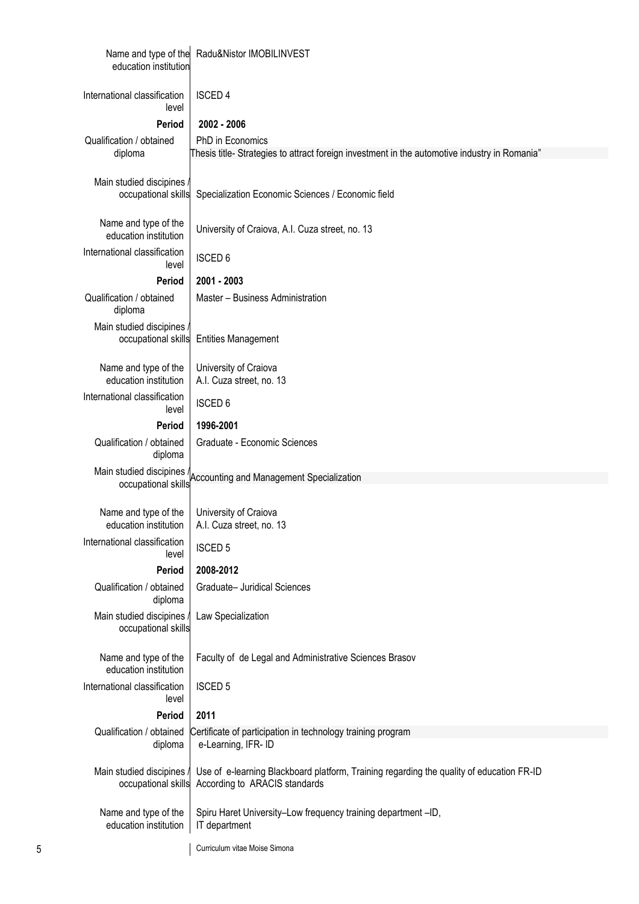| education institution                            | Name and type of the Radu&Nistor IMOBILINVEST                                                                             |
|--------------------------------------------------|---------------------------------------------------------------------------------------------------------------------------|
| International classification<br>level            | <b>ISCED 4</b>                                                                                                            |
| Period                                           | 2002 - 2006                                                                                                               |
| Qualification / obtained                         | PhD in Economics                                                                                                          |
| diploma                                          | Thesis title- Strategies to attract foreign investment in the automotive industry in Romania"                             |
| Main studied discipines /<br>occupational skills | Specialization Economic Sciences / Economic field                                                                         |
| Name and type of the<br>education institution    | University of Craiova, A.I. Cuza street, no. 13                                                                           |
| International classification<br>level            | <b>ISCED 6</b>                                                                                                            |
| <b>Period</b>                                    | 2001 - 2003                                                                                                               |
| Qualification / obtained<br>diploma              | Master - Business Administration                                                                                          |
| Main studied discipines /<br>occupational skills | <b>Entities Management</b>                                                                                                |
| Name and type of the<br>education institution    | University of Craiova<br>A.I. Cuza street, no. 13                                                                         |
| International classification<br>level            | <b>ISCED 6</b>                                                                                                            |
| Period                                           | 1996-2001                                                                                                                 |
| Qualification / obtained<br>diploma              | Graduate - Economic Sciences                                                                                              |
|                                                  | Main studied discipines /<br>occupational skills<br>counting and Management Specialization<br>occupational skills         |
| Name and type of the<br>education institution    | University of Craiova<br>A.I. Cuza street, no. 13                                                                         |
| International classification<br>level            | <b>ISCED 5</b>                                                                                                            |
| Period                                           | 2008-2012                                                                                                                 |
| Qualification / obtained<br>diploma              | Graduate- Juridical Sciences                                                                                              |
| Main studied discipines<br>occupational skills   | Law Specialization                                                                                                        |
| Name and type of the<br>education institution    | Faculty of de Legal and Administrative Sciences Brasov                                                                    |
| International classification<br>level            | <b>ISCED 5</b>                                                                                                            |
| Period                                           | 2011                                                                                                                      |
| Qualification / obtained<br>diploma              | Certificate of participation in technology training program<br>e-Learning, IFR- ID                                        |
| Main studied discipines /<br>occupational skills | Use of e-learning Blackboard platform, Training regarding the quality of education FR-ID<br>According to ARACIS standards |
| Name and type of the<br>education institution    | Spiru Haret University-Low frequency training department -ID,<br>IT department                                            |
| 5                                                | Curriculum vitae Moise Simona                                                                                             |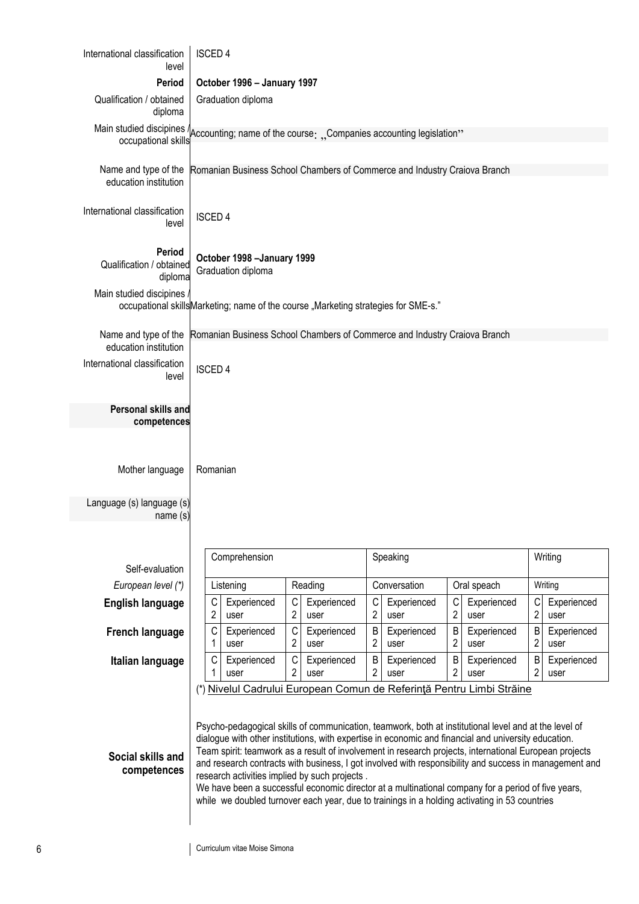| International classification<br>level                                                                             | <b>ISCED 4</b>                                                                                                                                                                                                                                                                                                                                                                                                                                                                                                                                                                                                                                                                            |                                                      |                                                                   |                                            |                                            |
|-------------------------------------------------------------------------------------------------------------------|-------------------------------------------------------------------------------------------------------------------------------------------------------------------------------------------------------------------------------------------------------------------------------------------------------------------------------------------------------------------------------------------------------------------------------------------------------------------------------------------------------------------------------------------------------------------------------------------------------------------------------------------------------------------------------------------|------------------------------------------------------|-------------------------------------------------------------------|--------------------------------------------|--------------------------------------------|
| Period                                                                                                            | October 1996 - January 1997                                                                                                                                                                                                                                                                                                                                                                                                                                                                                                                                                                                                                                                               |                                                      |                                                                   |                                            |                                            |
| Qualification / obtained<br>diploma                                                                               | Graduation diploma                                                                                                                                                                                                                                                                                                                                                                                                                                                                                                                                                                                                                                                                        |                                                      |                                                                   |                                            |                                            |
| Main studied discipines Accounting; name of the course: "Companies accounting legislation"<br>occupational skills |                                                                                                                                                                                                                                                                                                                                                                                                                                                                                                                                                                                                                                                                                           |                                                      |                                                                   |                                            |                                            |
| Name and type of the<br>education institution                                                                     | Romanian Business School Chambers of Commerce and Industry Craiova Branch                                                                                                                                                                                                                                                                                                                                                                                                                                                                                                                                                                                                                 |                                                      |                                                                   |                                            |                                            |
| International classification<br>level                                                                             | <b>ISCED 4</b>                                                                                                                                                                                                                                                                                                                                                                                                                                                                                                                                                                                                                                                                            |                                                      |                                                                   |                                            |                                            |
| Period<br>Qualification / obtained<br>diploma                                                                     | October 1998 - January 1999<br>Graduation diploma                                                                                                                                                                                                                                                                                                                                                                                                                                                                                                                                                                                                                                         |                                                      |                                                                   |                                            |                                            |
| Main studied discipines                                                                                           | occupational skills Marketing; name of the course "Marketing strategies for SME-s."                                                                                                                                                                                                                                                                                                                                                                                                                                                                                                                                                                                                       |                                                      |                                                                   |                                            |                                            |
| Name and type of the<br>education institution                                                                     | Romanian Business School Chambers of Commerce and Industry Craiova Branch                                                                                                                                                                                                                                                                                                                                                                                                                                                                                                                                                                                                                 |                                                      |                                                                   |                                            |                                            |
| International classification<br>level                                                                             | <b>ISCED 4</b>                                                                                                                                                                                                                                                                                                                                                                                                                                                                                                                                                                                                                                                                            |                                                      |                                                                   |                                            |                                            |
| Personal skills and<br>competences                                                                                |                                                                                                                                                                                                                                                                                                                                                                                                                                                                                                                                                                                                                                                                                           |                                                      |                                                                   |                                            |                                            |
| Mother language                                                                                                   | Romanian                                                                                                                                                                                                                                                                                                                                                                                                                                                                                                                                                                                                                                                                                  |                                                      |                                                                   |                                            |                                            |
| Language (s) language (s)<br>name(s)                                                                              |                                                                                                                                                                                                                                                                                                                                                                                                                                                                                                                                                                                                                                                                                           |                                                      |                                                                   |                                            |                                            |
| Self-evaluation                                                                                                   | Comprehension                                                                                                                                                                                                                                                                                                                                                                                                                                                                                                                                                                                                                                                                             |                                                      | Speaking                                                          |                                            | Writing                                    |
| European level (*)                                                                                                | Listening                                                                                                                                                                                                                                                                                                                                                                                                                                                                                                                                                                                                                                                                                 | Reading                                              | Conversation                                                      | Oral speach                                | Writing                                    |
| <b>English language</b>                                                                                           | C<br>Experienced<br>$\overline{c}$<br>user                                                                                                                                                                                                                                                                                                                                                                                                                                                                                                                                                                                                                                                | С<br>Experienced<br>$\overline{2}$<br>user           | C<br>Experienced<br>$\overline{2}$<br>user                        | С<br>Experienced<br>$\overline{2}$<br>user | Experienced<br>С<br>$\overline{c}$<br>user |
| <b>French language</b>                                                                                            | С<br>Experienced<br>1<br>user                                                                                                                                                                                                                                                                                                                                                                                                                                                                                                                                                                                                                                                             | $\mathsf C$<br>Experienced<br>$\overline{2}$<br>user | B<br>Experienced<br>$\overline{2}$<br>user                        | B<br>Experienced<br>2<br>user              | B<br>Experienced<br>$\overline{2}$<br>user |
| Italian language                                                                                                  | C<br>Experienced<br>1<br>user                                                                                                                                                                                                                                                                                                                                                                                                                                                                                                                                                                                                                                                             | $\mathsf C$<br>Experienced<br>2<br>user              | B<br>Experienced<br>$\overline{2}$<br>user                        | B<br>Experienced<br>2<br>user              | B<br>Experienced<br>2<br>user              |
| Social skills and<br>competences                                                                                  | Psycho-pedagogical skills of communication, teamwork, both at institutional level and at the level of<br>dialogue with other institutions, with expertise in economic and financial and university education.<br>Team spirit: teamwork as a result of involvement in research projects, international European projects<br>and research contracts with business, I got involved with responsibility and success in management and<br>research activities implied by such projects.<br>We have been a successful economic director at a multinational company for a period of five years,<br>while we doubled turnover each year, due to trainings in a holding activating in 53 countries |                                                      | Nivelul Cadrului European Comun de Referință Pentru Limbi Străine |                                            |                                            |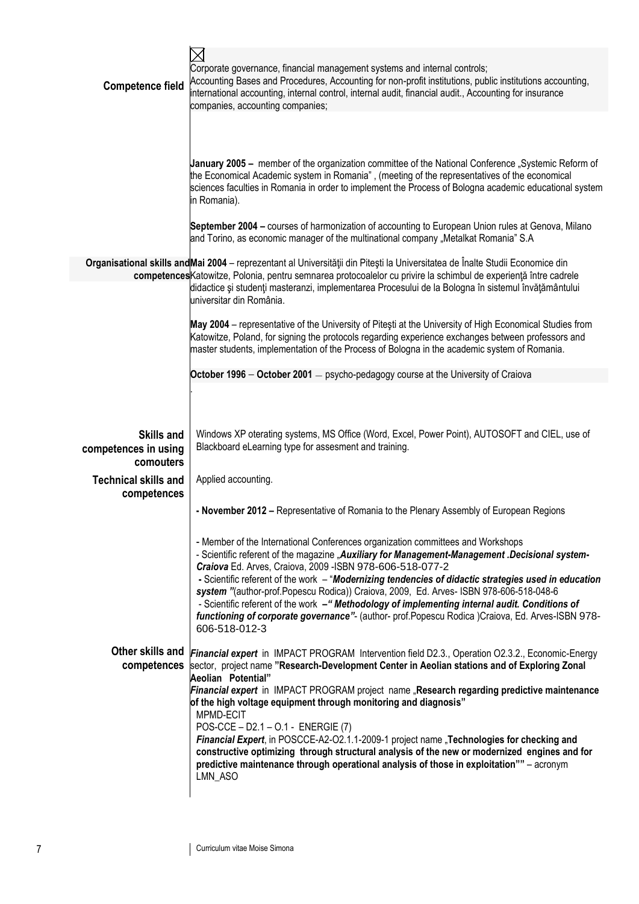| <b>Competence field</b>                    | Corporate governance, financial management systems and internal controls;<br>Accounting Bases and Procedures, Accounting for non-profit institutions, public institutions accounting,<br>international accounting, internal control, internal audit, financial audit., Accounting for insurance<br>companies, accounting companies;                                                                                                                                                                                 |
|--------------------------------------------|---------------------------------------------------------------------------------------------------------------------------------------------------------------------------------------------------------------------------------------------------------------------------------------------------------------------------------------------------------------------------------------------------------------------------------------------------------------------------------------------------------------------|
|                                            |                                                                                                                                                                                                                                                                                                                                                                                                                                                                                                                     |
|                                            | January 2005 - member of the organization committee of the National Conference "Systemic Reform of<br>the Economical Academic system in Romania", (meeting of the representatives of the economical<br>sciences faculties in Romania in order to implement the Process of Bologna academic educational system<br>in Romania).                                                                                                                                                                                       |
|                                            | September 2004 - courses of harmonization of accounting to European Union rules at Genova, Milano<br>and Torino, as economic manager of the multinational company "Metalkat Romania" S.A                                                                                                                                                                                                                                                                                                                            |
|                                            | Organisational skills and Mai 2004 - reprezentant al Universității din Pitești la Universitatea de Înalte Studii Economice din<br>competences Katowitze, Polonia, pentru semnarea protocoalelor cu privire la schimbul de experiență între cadrele<br>didactice și studenți masteranzi, implementarea Procesului de la Bologna în sistemul învățământului<br>universitar din România.                                                                                                                               |
|                                            | May 2004 - representative of the University of Pitesti at the University of High Economical Studies from<br>Katowitze, Poland, for signing the protocols regarding experience exchanges between professors and<br>master students, implementation of the Process of Bologna in the academic system of Romania.                                                                                                                                                                                                      |
|                                            | October 1996 - October 2001 - psycho-pedagogy course at the University of Craiova                                                                                                                                                                                                                                                                                                                                                                                                                                   |
| <b>Skills and</b>                          | Windows XP oterating systems, MS Office (Word, Excel, Power Point), AUTOSOFT and CIEL, use of<br>Blackboard eLearning type for assesment and training.                                                                                                                                                                                                                                                                                                                                                              |
| competences in using<br>comouters          |                                                                                                                                                                                                                                                                                                                                                                                                                                                                                                                     |
| <b>Technical skills and</b><br>competences | Applied accounting.                                                                                                                                                                                                                                                                                                                                                                                                                                                                                                 |
|                                            | - November 2012 - Representative of Romania to the Plenary Assembly of European Regions                                                                                                                                                                                                                                                                                                                                                                                                                             |
|                                            | - Member of the International Conferences organization committees and Workshops<br>- Scientific referent of the magazine "Auxiliary for Management-Management .Decisional system-<br>Craiova Ed. Arves, Craiova, 2009 - ISBN 978-606-518-077-2                                                                                                                                                                                                                                                                      |
|                                            | - Scientific referent of the work - "Modernizing tendencies of didactic strategies used in education<br>system "(author-prof.Popescu Rodica)) Craiova, 2009, Ed. Arves- ISBN 978-606-518-048-6<br>- Scientific referent of the work -" Methodology of implementing internal audit. Conditions of<br>functioning of corporate governance"- (author- prof. Popescu Rodica )Craiova, Ed. Arves-ISBN 978-<br>606-518-012-3                                                                                              |
| competences                                | Other skills and Financial expert in IMPACT PROGRAM Intervention field D2.3., Operation O2.3.2., Economic-Energy<br>sector, project name "Research-Development Center in Aeolian stations and of Exploring Zonal<br>Aeolian Potential"                                                                                                                                                                                                                                                                              |
|                                            | Financial expert in IMPACT PROGRAM project name "Research regarding predictive maintenance<br>of the high voltage equipment through monitoring and diagnosis"<br>MPMD-ECIT<br>POS-CCE - D2.1 - O.1 - ENERGIE (7)<br>Financial Expert, in POSCCE-A2-O2.1.1-2009-1 project name "Technologies for checking and<br>constructive optimizing through structural analysis of the new or modernized engines and for<br>predictive maintenance through operational analysis of those in exploitation"" - acronym<br>LMN_ASO |